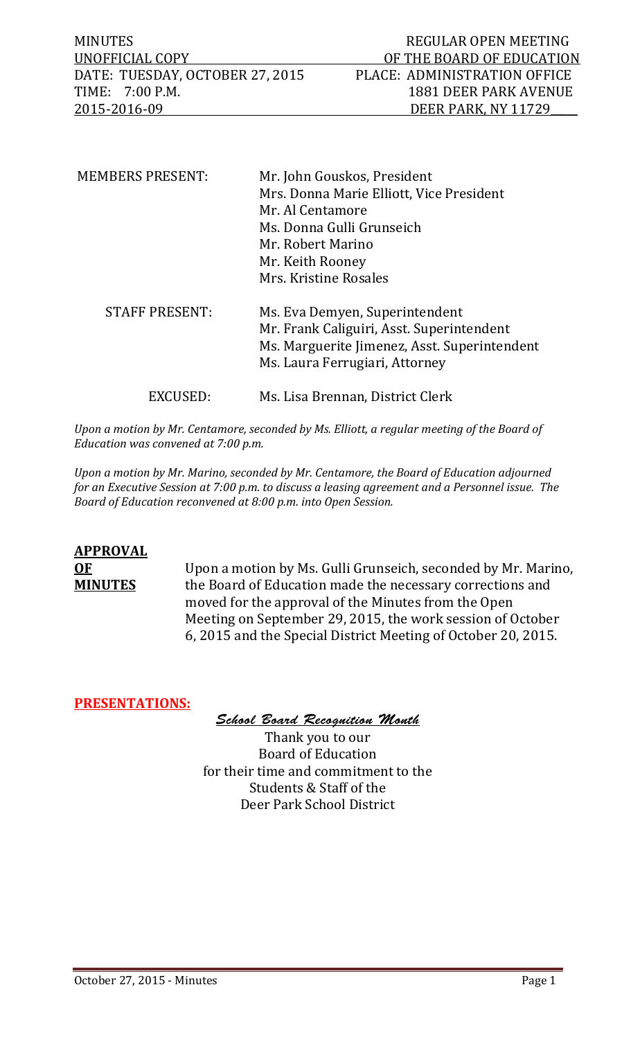MINUTES REGULAR OPEN MEETING DATE: TUESDAY, OCTOBER 27, 2015<br>TIME: 7:00 P.M. TIME: 7:00 P.M. 1881 DEER PARK AVENUE

| <b>MEMBERS PRESENT:</b> | Mr. John Gouskos, President                  |
|-------------------------|----------------------------------------------|
|                         | Mrs. Donna Marie Elliott, Vice President     |
|                         | Mr. Al Centamore                             |
|                         | Ms. Donna Gulli Grunseich                    |
|                         | Mr. Robert Marino                            |
|                         | Mr. Keith Rooney                             |
|                         | Mrs. Kristine Rosales                        |
| <b>STAFF PRESENT:</b>   | Ms. Eva Demyen, Superintendent               |
|                         | Mr. Frank Caliguiri, Asst. Superintendent    |
|                         | Ms. Marguerite Jimenez, Asst. Superintendent |
|                         | Ms. Laura Ferrugiari, Attorney               |
|                         | Ms. Lisa Brennan, District Clerk             |

*Upon a motion by Mr. Centamore, seconded by Ms. Elliott, a regular meeting of the Board of Education was convened at 7:00 p.m.*

*Upon a motion by Mr. Marino, seconded by Mr. Centamore, the Board of Education adjourned for an Executive Session at 7:00 p.m. to discuss a leasing agreement and a Personnel issue. The Board of Education reconvened at 8:00 p.m. into Open Session.* 

# **APPROVAL**

**OF** Upon a motion by Ms. Gulli Grunseich, seconded by Mr. Marino, the Board of Education made the necessary corrections and moved for the approval of the Minutes from the Open Meeting on September 29, 2015, the work session of October 6, 2015 and the Special District Meeting of October 20, 2015.

#### **PRESENTATIONS:**

*School Board Recognition Month*

Thank you to our Board of Education for their time and commitment to the Students & Staff of the Deer Park School District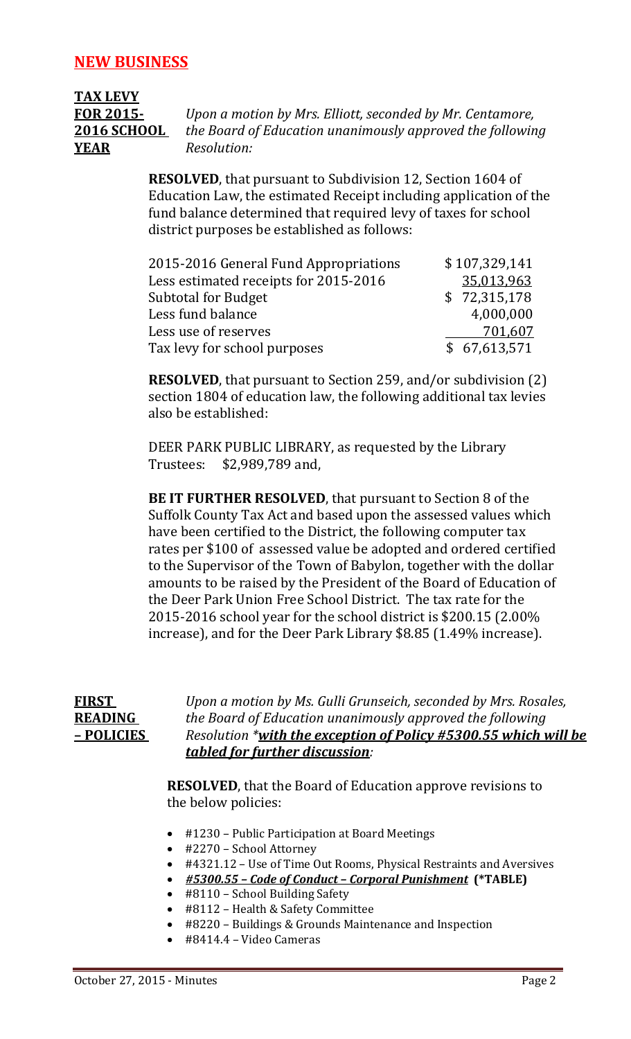## **TAX LEVY YEAR** *Resolution:*

**FOR 2015-** *Upon a motion by Mrs. Elliott, seconded by Mr. Centamore,* **2016 SCHOOL** *the Board of Education unanimously approved the following*

> **RESOLVED**, that pursuant to Subdivision 12, Section 1604 of Education Law, the estimated Receipt including application of the fund balance determined that required levy of taxes for school district purposes be established as follows:

| 2015-2016 General Fund Appropriations | \$107,329,141 |
|---------------------------------------|---------------|
| Less estimated receipts for 2015-2016 | 35,013,963    |
| <b>Subtotal for Budget</b>            | \$72,315,178  |
| Less fund balance                     | 4,000,000     |
| Less use of reserves                  | 701,607       |
| Tax levy for school purposes          | \$67,613,571  |

**RESOLVED**, that pursuant to Section 259, and/or subdivision (2) section 1804 of education law, the following additional tax levies also be established:

DEER PARK PUBLIC LIBRARY, as requested by the Library<br>Trustees: \$2,989,789 and, \$2,989,789 and,

**BE IT FURTHER RESOLVED**, that pursuant to Section 8 of the Suffolk County Tax Act and based upon the assessed values which have been certified to the District, the following computer tax rates per \$100 of assessed value be adopted and ordered certified to the Supervisor of the Town of Babylon, together with the dollar amounts to be raised by the President of the Board of Education of the Deer Park Union Free School District. The tax rate for the 2015-2016 school year for the school district is \$200.15 (2.00% increase), and for the Deer Park Library \$8.85 (1.49% increase).

| FIRST          | Upon a motion by Ms. Gulli Grunseich, seconded by Mrs. Rosales, |
|----------------|-----------------------------------------------------------------|
| <b>READING</b> | the Board of Education unanimously approved the following       |
| - POLICIES     | Resolution *with the exception of Policy #5300.55 which will be |
|                | tabled for further discussion:                                  |

**RESOLVED**, that the Board of Education approve revisions to the below policies:

- #1230 Public Participation at Board Meetings
- #2270 School Attorney
- #4321.12 Use of Time Out Rooms, Physical Restraints and Aversives
- *#5300.55 – Code of Conduct – Corporal Punishment* **(\*TABLE)**
- #8110 School Building Safety
- #8112 Health & Safety Committee
- #8220 Buildings & Grounds Maintenance and Inspection
- #8414.4 Video Cameras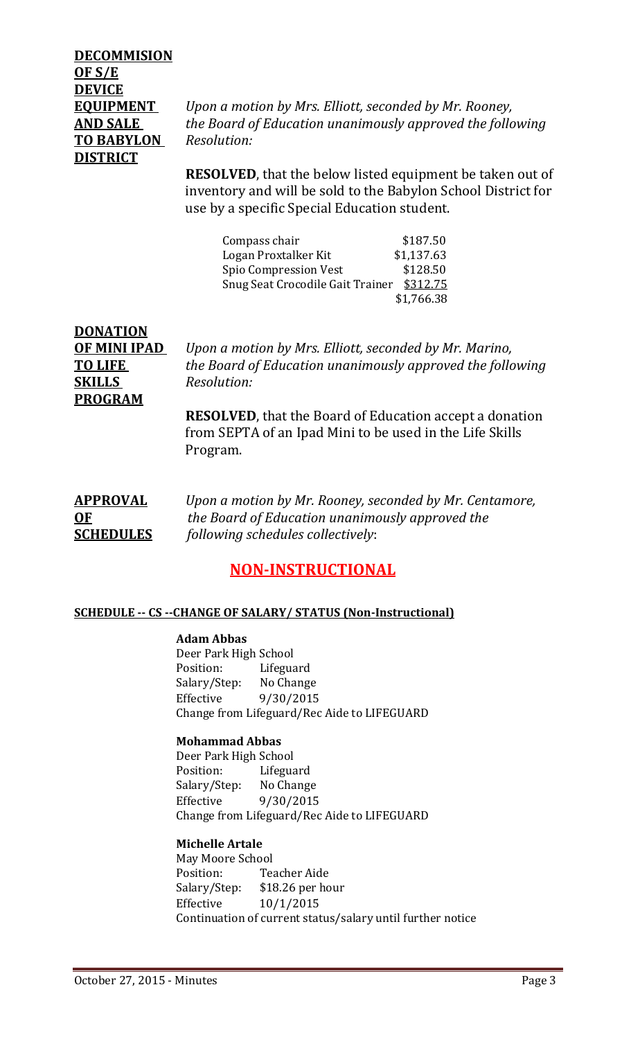### **DECOMMISION OF S/E DEVICE TO BABYLON** *Resolution:* **DISTRICT**

**EQUIPMENT** *Upon a motion by Mrs. Elliott, seconded by Mr. Rooney,* **AND SALE** *the Board of Education unanimously approved the following*

> **RESOLVED**, that the below listed equipment be taken out of inventory and will be sold to the Babylon School District for use by a specific Special Education student.

| Compass chair                    | \$187.50   |
|----------------------------------|------------|
| Logan Proxtalker Kit             | \$1,137.63 |
| Spio Compression Vest            | \$128.50   |
| Snug Seat Crocodile Gait Trainer | \$312.75   |
|                                  | \$1,766.38 |

| <b>DONATION</b> |                                                                 |
|-----------------|-----------------------------------------------------------------|
| OF MINI IPAD    | Upon a motion by Mrs. Elliott, seconded by Mr. Marino,          |
| TO LIFE         | the Board of Education unanimously approved the following       |
| SKILLS          | Resolution:                                                     |
| <b>PROGRAM</b>  |                                                                 |
|                 | <b>RESOLVED</b> , that the Board of Education accept a donation |
|                 | from SEPTA of an Ipad Mini to be used in the Life Skills        |

**APPROVAL** *Upon a motion by Mr. Rooney, seconded by Mr. Centamore,* **OF** *the Board of Education unanimously approved the* **SCHEDULES** *following schedules collectively*:

#### **NON-INSTRUCTIONAL**

#### **SCHEDULE -- CS --CHANGE OF SALARY/ STATUS (Non-Instructional)**

#### **Adam Abbas**

Program.

Deer Park High School<br>Position: Lifeguard Position: Lifeguard<br>Salary/Step: No Change Salary/Step: Effective 9/30/2015 Change from Lifeguard/Rec Aide to LIFEGUARD

#### **Mohammad Abbas**

Deer Park High School<br>Position: Lifegua Lifeguard<br>No Change Salary/Step:<br>Effective Effective 9/30/2015 Change from Lifeguard/Rec Aide to LIFEGUARD

#### **Michelle Artale**

May Moore School Position: Teacher Aide<br>Salary/Step: \$18.26 per ho \$18.26 per hour Effective 10/1/2015 Continuation of current status/salary until further notice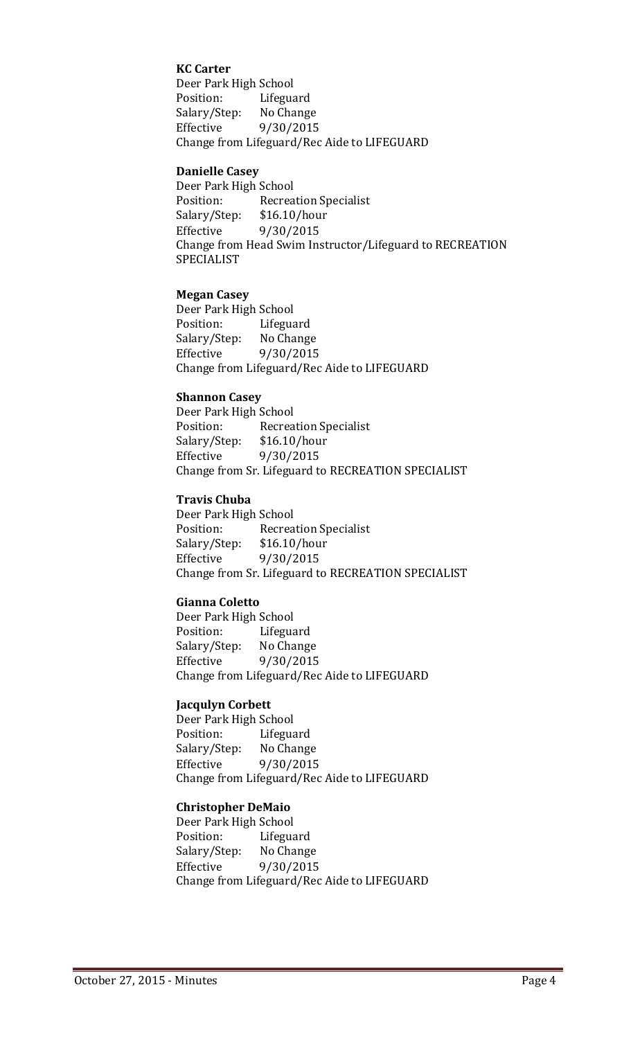#### **KC Carter**

Deer Park High School<br>Position: Lifegua Lifeguard<br>No Change Salary/Step:<br>Effective Effective 9/30/2015 Change from Lifeguard/Rec Aide to LIFEGUARD

#### **Danielle Casey**

Deer Park High School<br>Position: Recrea Recreation Specialist<br>\$16.10/hour Salary/Step:<br>Effective Effective 9/30/2015 Change from Head Swim Instructor/Lifeguard to RECREATION SPECIALIST

#### **Megan Casey**

Deer Park High School<br>Position: Lifegua Lifeguard<br>No Change Salary/Step:<br>Effective Effective 9/30/2015 Change from Lifeguard/Rec Aide to LIFEGUARD

#### **Shannon Casey**

Deer Park High School Recreation Specialist<br>\$16.10/hour Salary/Step: Effective 9/30/2015 Change from Sr. Lifeguard to RECREATION SPECIALIST

#### **Travis Chuba**

Deer Park High School<br>Position: Recrea Recreation Specialist<br>\$16.10/hour Salary/Step:<br>Effective Effective 9/30/2015 Change from Sr. Lifeguard to RECREATION SPECIALIST

#### **Gianna Coletto**

Deer Park High School<br>Position: Lifegua Lifeguard<br>No Change Salary/Step:<br>Effective Effective 9/30/2015 Change from Lifeguard/Rec Aide to LIFEGUARD

#### **Jacqulyn Corbett**

Deer Park High School<br>Position: Lifegua Lifeguard<br>No Change Salary/Step: Effective 9/30/2015 Change from Lifeguard/Rec Aide to LIFEGUARD

#### **Christopher DeMaio**

Deer Park High School<br>Position: Lifegua Lifeguard<br>No Change Salary/Step:<br>Effective Effective 9/30/2015 Change from Lifeguard/Rec Aide to LIFEGUARD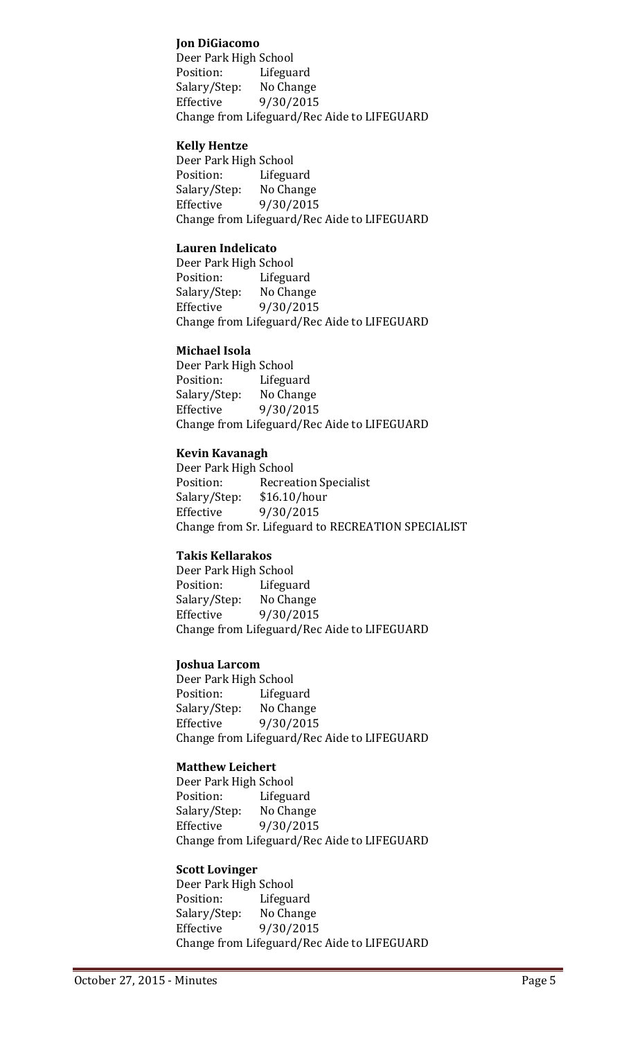#### **Jon DiGiacomo**

Deer Park High School<br>Position: Lifegua Lifeguard<br>No Change Salary/Step:<br>Effective Effective 9/30/2015 Change from Lifeguard/Rec Aide to LIFEGUARD

#### **Kelly Hentze**

Deer Park High School<br>Position: Lifegua Lifeguard<br>No Change Salary/Step:<br>Effective Effective 9/30/2015 Change from Lifeguard/Rec Aide to LIFEGUARD

#### **Lauren Indelicato**

Deer Park High School<br>Position: Lifegua Lifeguard<br>No Change Salary/Step:<br>Effective Effective 9/30/2015 Change from Lifeguard/Rec Aide to LIFEGUARD

#### **Michael Isola**

Deer Park High School<br>Position: Lifegua Lifeguard<br>No Change Salary/Step:<br>Effective Effective 9/30/2015 Change from Lifeguard/Rec Aide to LIFEGUARD

#### **Kevin Kavanagh**

Deer Park High School<br>Position: Recrea Recreation Specialist<br>\$16.10/hour Salary/Step:<br>Effective Effective 9/30/2015 Change from Sr. Lifeguard to RECREATION SPECIALIST

#### **Takis Kellarakos**

Deer Park High School<br>Position: Lifegua Lifeguard<br>No Change Salary/Step: Effective 9/30/2015 Change from Lifeguard/Rec Aide to LIFEGUARD

#### **Joshua Larcom**

Deer Park High School<br>Position: Lifegua Lifeguard<br>No Change Salary/Step:<br>Effective Effective 9/30/2015 Change from Lifeguard/Rec Aide to LIFEGUARD

#### **Matthew Leichert**

Deer Park High School<br>Position: Lifegua Lifeguard<br>No Change Salary/Step:<br>Effective Effective 9/30/2015 Change from Lifeguard/Rec Aide to LIFEGUARD

#### **Scott Lovinger**

Deer Park High School<br>Position: Lifegua Lifeguard Salary/Step: No Change<br>Effective 9/30/2015 Effective 9/30/2015 Change from Lifeguard/Rec Aide to LIFEGUARD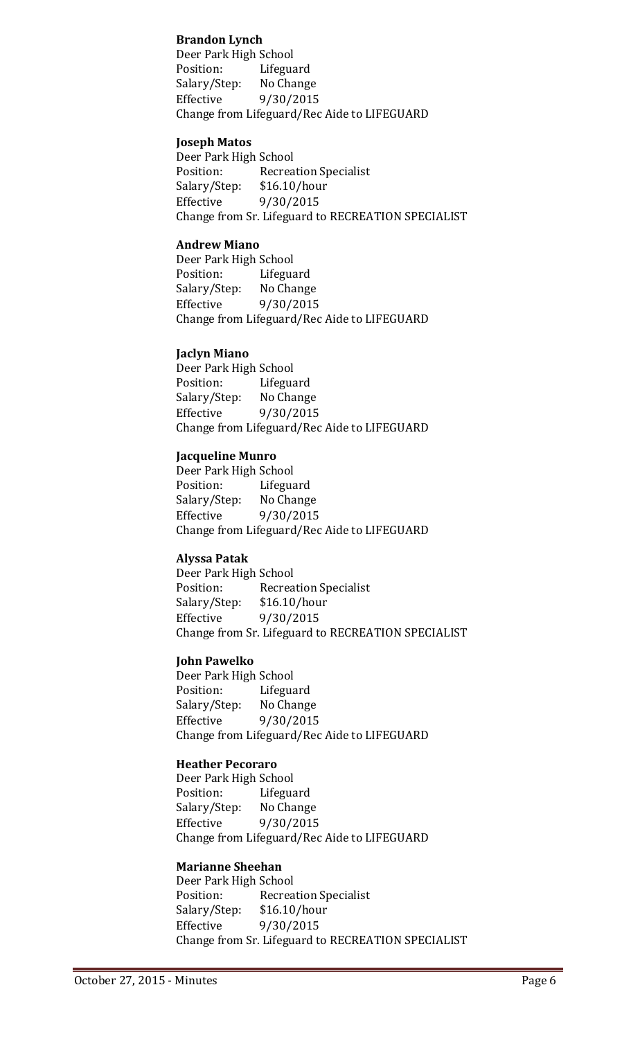#### **Brandon Lynch**

Deer Park High School<br>Position: Lifegua Lifeguard<br>No Change Salary/Step:<br>Effective 9/30/2015 Change from Lifeguard/Rec Aide to LIFEGUARD

#### **Joseph Matos**

Deer Park High School<br>Position: Recrea Recreation Specialist<br>\$16.10/hour Salary/Step:<br>Effective Effective 9/30/2015 Change from Sr. Lifeguard to RECREATION SPECIALIST

#### **Andrew Miano**

Deer Park High School Lifeguard<br>No Change Salary/Step: Effective 9/30/2015 Change from Lifeguard/Rec Aide to LIFEGUARD

#### **Jaclyn Miano**

Deer Park High School<br>Position: Lifegua Lifeguard<br>No Change Salary/Step:<br>Effective Effective 9/30/2015 Change from Lifeguard/Rec Aide to LIFEGUARD

#### **Jacqueline Munro**

Deer Park High School Lifeguard<br>No Change Salary/Step:<br>Effective Effective 9/30/2015 Change from Lifeguard/Rec Aide to LIFEGUARD

#### **Alyssa Patak**

Deer Park High School<br>Position: Recrea Recreation Specialist<br>\$16.10/hour Salary/Step:<br>Effective Effective 9/30/2015 Change from Sr. Lifeguard to RECREATION SPECIALIST

#### **John Pawelko**

Deer Park High School<br>Position: Lifegua Lifeguard<br>No Change Salary/Step:<br>Effective Effective 9/30/2015 Change from Lifeguard/Rec Aide to LIFEGUARD

#### **Heather Pecoraro**

Deer Park High School<br>Position: Lifegua Lifeguard<br>No Change Salary/Step: Effective 9/30/2015 Change from Lifeguard/Rec Aide to LIFEGUARD

#### **Marianne Sheehan**

Deer Park High School<br>Position: Recrea Recreation Specialist<br>\$16.10/hour Salary/Step:<br>Effective Effective 9/30/2015 Change from Sr. Lifeguard to RECREATION SPECIALIST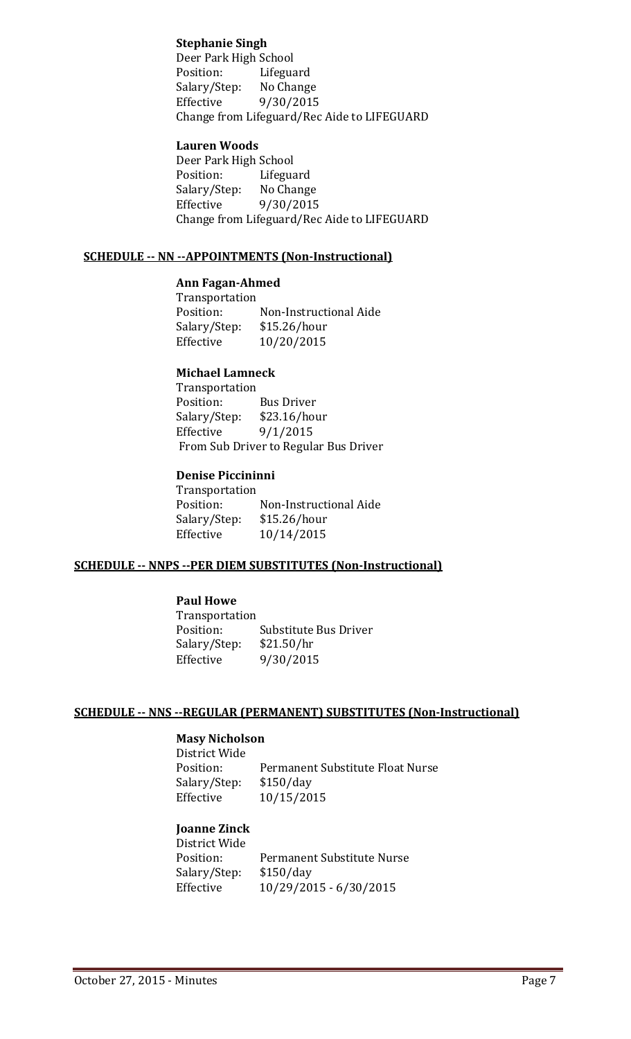#### **Stephanie Singh**

Deer Park High School<br>Position: Lifegua Lifeguard<br>No Change Salary/Step:<br>Effective Effective 9/30/2015 Change from Lifeguard/Rec Aide to LIFEGUARD

#### **Lauren Woods**

Deer Park High School<br>Position: Lifegua Lifeguard<br>No Change Salary/Step:<br>Effective Effective 9/30/2015 Change from Lifeguard/Rec Aide to LIFEGUARD

#### **SCHEDULE -- NN --APPOINTMENTS (Non-Instructional)**

#### **Ann Fagan-Ahmed**

Transportation<br>Position: Non-Instructional Aide<br>\$15.26/hour Salary/Step:<br>Effective Effective 10/20/2015

#### **Michael Lamneck**

Transportation<br>Position: Bus Driver<br>\$23.16/hour Salary/Step:<br>Effective  $9/1/2015$ From Sub Driver to Regular Bus Driver

#### **Denise Piccininni**

Transportation<br>Position: Position: Non-Instructional Aide<br>Salary/Step: \$15.26/hour Salary/Step: \$15.26/hour<br>Effective 10/14/2015 Effective 10/14/2015

#### **SCHEDULE -- NNPS --PER DIEM SUBSTITUTES (Non-Instructional)**

#### **Paul Howe**

Transportation Substitute Bus Driver<br>\$21.50/hr Salary/Step:<br>Effective Effective 9/30/2015

#### **SCHEDULE -- NNS --REGULAR (PERMANENT) SUBSTITUTES (Non-Instructional)**

#### **Masy Nicholson**

District Wide Permanent Substitute Float Nurse<br>\$150/day Salary/Step:<br>Effective Effective 10/15/2015

#### **Joanne Zinck**

District Wide Permanent Substitute Nurse<br>\$150/day Salary/Step:<br>Effective Effective 10/29/2015 - 6/30/2015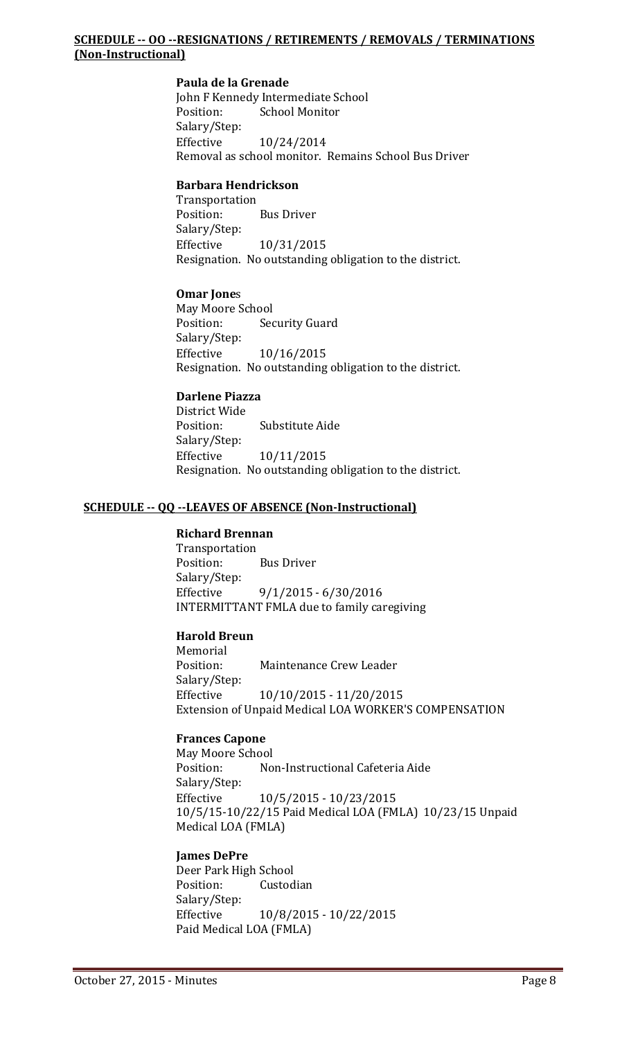#### **SCHEDULE -- OO --RESIGNATIONS / RETIREMENTS / REMOVALS / TERMINATIONS (Non-Instructional)**

#### **Paula de la Grenade**

John F Kennedy Intermediate School<br>Position: School Monitor School Monitor Salary/Step:<br>Effective Effective 10/24/2014 Removal as school monitor. Remains School Bus Driver

#### **Barbara Hendrickson**

Transportation **Bus Driver** Salary/Step: Effective 10/31/2015 Resignation. No outstanding obligation to the district.

#### **Omar Jone**s

May Moore School **Security Guard** Salary/Step:<br>Effective Effective 10/16/2015 Resignation. No outstanding obligation to the district.

#### **Darlene Piazza**

District Wide Substitute Aide Salary/Step: Effective 10/11/2015 Resignation. No outstanding obligation to the district.

#### **SCHEDULE -- QQ --LEAVES OF ABSENCE (Non-Instructional)**

#### **Richard Brennan**

Transportation<br>Position: **Bus Driver** Salary/Step:<br>Effective  $9/1/2015 - 6/30/2016$ INTERMITTANT FMLA due to family caregiving

#### **Harold Breun**

Memorial<br>Position: Maintenance Crew Leader Salary/Step: Effective 10/10/2015 - 11/20/2015 Extension of Unpaid Medical LOA WORKER'S COMPENSATION

#### **Frances Capone**

May Moore School<br>Position: No Non-Instructional Cafeteria Aide Salary/Step:<br>Effective Effective 10/5/2015 - 10/23/2015 10/5/15-10/22/15 Paid Medical LOA (FMLA) 10/23/15 Unpaid Medical LOA (FMLA)

#### **James DePre**

Deer Park High School<br>Position: Custod Custodian Salary/Step: Effective 10/8/2015 - 10/22/2015 Paid Medical LOA (FMLA)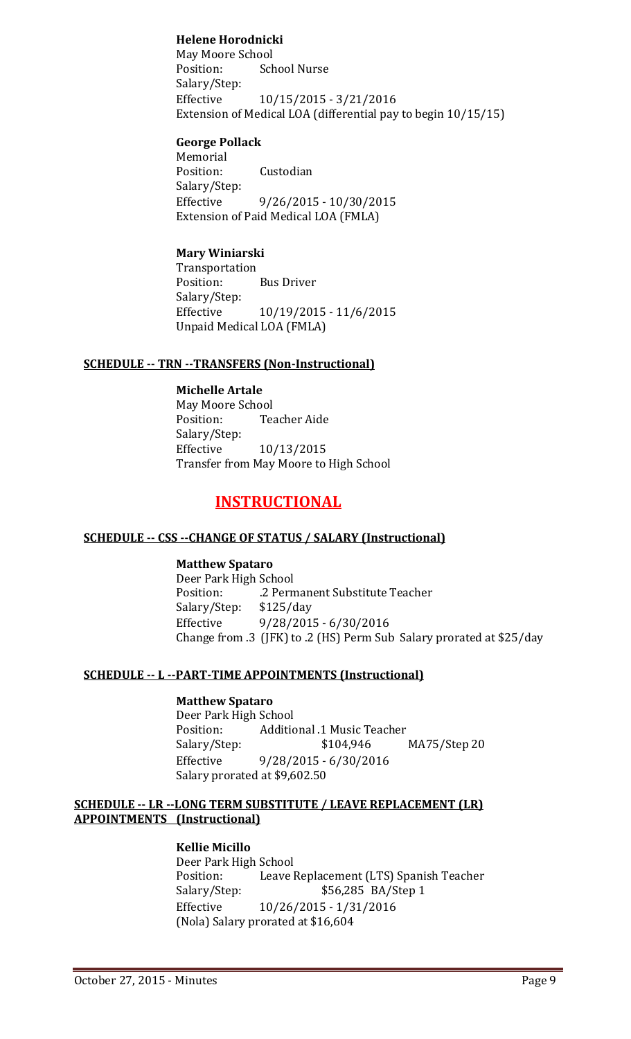#### **Helene Horodnicki**

May Moore School<br>Position: Sch School Nurse Salary/Step:<br>Effective Effective 10/15/2015 - 3/21/2016 Extension of Medical LOA (differential pay to begin 10/15/15)

#### **George Pollack**

Memorial<br>Position: Custodian Salary/Step:<br>Effective  $9/26/2015 - 10/30/2015$ Extension of Paid Medical LOA (FMLA)

#### **Mary Winiarski**

Transportation<br>Position: **Bus Driver** Salary/Step:<br>Effective Effective 10/19/2015 - 11/6/2015 Unpaid Medical LOA (FMLA)

#### **SCHEDULE -- TRN --TRANSFERS (Non-Instructional)**

**Michelle Artale** May Moore School **Teacher Aide** Salary/Step:<br>Effective Effective 10/13/2015 Transfer from May Moore to High School

#### **INSTRUCTIONAL**

#### **SCHEDULE -- CSS --CHANGE OF STATUS / SALARY (Instructional)**

#### **Matthew Spataro**

Deer Park High School .2 Permanent Substitute Teacher<br>\$125/day Salary/Step:<br>Effective Effective 9/28/2015 - 6/30/2016 Change from .3 (JFK) to .2 (HS) Perm Sub Salary prorated at \$25/day

#### **SCHEDULE -- L --PART-TIME APPOINTMENTS (Instructional)**

#### **Matthew Spataro**

Deer Park High School<br>Position: Additic Position: Additional .1 Music Teacher<br>Salary/Step: \$104,946 Salary/Step: \$104,946 MA75/Step 20<br>Effective 9/28/2015 - 6/30/2016 Effective 9/28/2015 - 6/30/2016 Salary prorated at \$9,602.50

#### **SCHEDULE -- LR --LONG TERM SUBSTITUTE / LEAVE REPLACEMENT (LR) APPOINTMENTS (Instructional)**

#### **Kellie Micillo**

Deer Park High School<br>Position: Leave Position: Leave Replacement (LTS) Spanish Teacher<br>S6,285 BA/Step 1 Salary/Step: \$56,285 BA/Step 1<br>Effective 10/26/2015 - 1/31/2016 Effective 10/26/2015 - 1/31/2016 (Nola) Salary prorated at \$16,604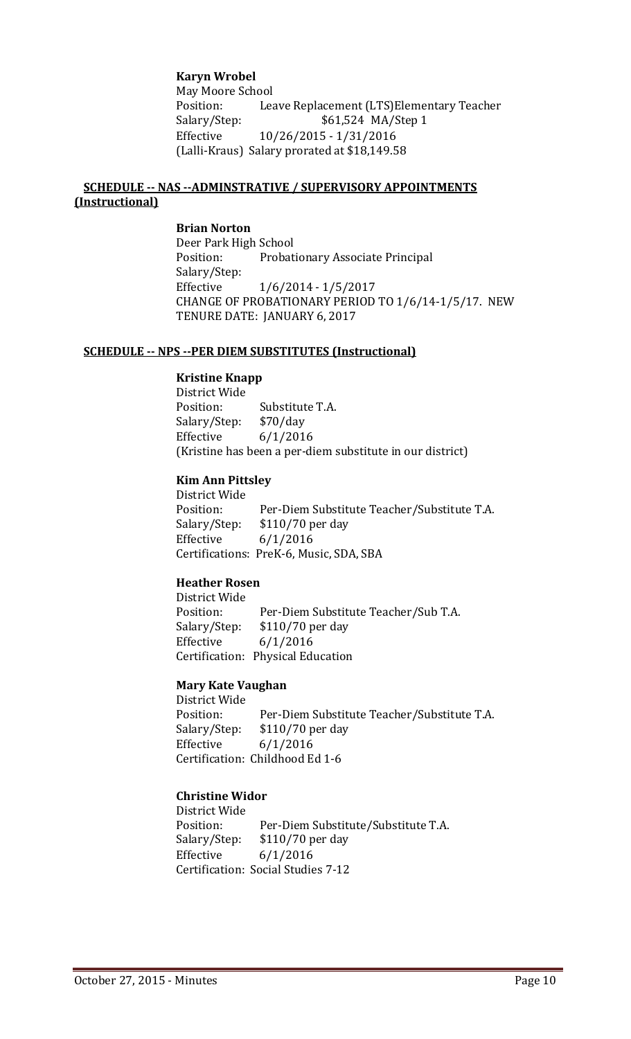#### **Karyn Wrobel**

May Moore School<br>Position: Lea Leave Replacement (LTS)Elementary Teacher Salary/Step: \$61,524 MA/Step 1 Effective 10/26/2015 - 1/31/2016 (Lalli-Kraus) Salary prorated at \$18,149.58

#### **SCHEDULE -- NAS --ADMINSTRATIVE / SUPERVISORY APPOINTMENTS (Instructional)**

#### **Brian Norton**

Deer Park High School<br>Position: Probat Probationary Associate Principal Salary/Step: Effective 1/6/2014 - 1/5/2017 CHANGE OF PROBATIONARY PERIOD TO 1/6/14-1/5/17. NEW TENURE DATE: JANUARY 6, 2017

#### **SCHEDULE -- NPS --PER DIEM SUBSTITUTES (Instructional)**

#### **Kristine Knapp**

District Wide Substitute T.A.<br>\$70/day Salary/Step:<br>Effective  $6/1/2016$ (Kristine has been a per-diem substitute in our district)

#### **Kim Ann Pittsley**

District Wide Position: Per-Diem Substitute Teacher/Substitute T.A.<br>Salary/Step: \$110/70 per day \$110/70 per day Effective 6/1/2016 Certifications: PreK-6, Music, SDA, SBA

#### **Heather Rosen**

District Wide Position: Per-Diem Substitute Teacher/Sub T.A.<br>Salary/Step: \$110/70 per day Salary/Step: \$110/70 per day<br>Effective 6/1/2016  $6/1/2016$ Certification: Physical Education

#### **Mary Kate Vaughan**

District Wide Position: Per-Diem Substitute Teacher/Substitute T.A.<br>Salary/Step: \$110/70 per day Salary/Step: \$110/70 per day<br>Effective 6/1/2016  $6/1/2016$ Certification: Childhood Ed 1-6

#### **Christine Widor**

District Wide Position: Per-Diem Substitute/Substitute T.A.<br>Salary/Step: \$110/70 per day Salary/Step: \$110/70 per day<br>Effective 6/1/2016  $6/1/2016$ Certification: Social Studies 7-12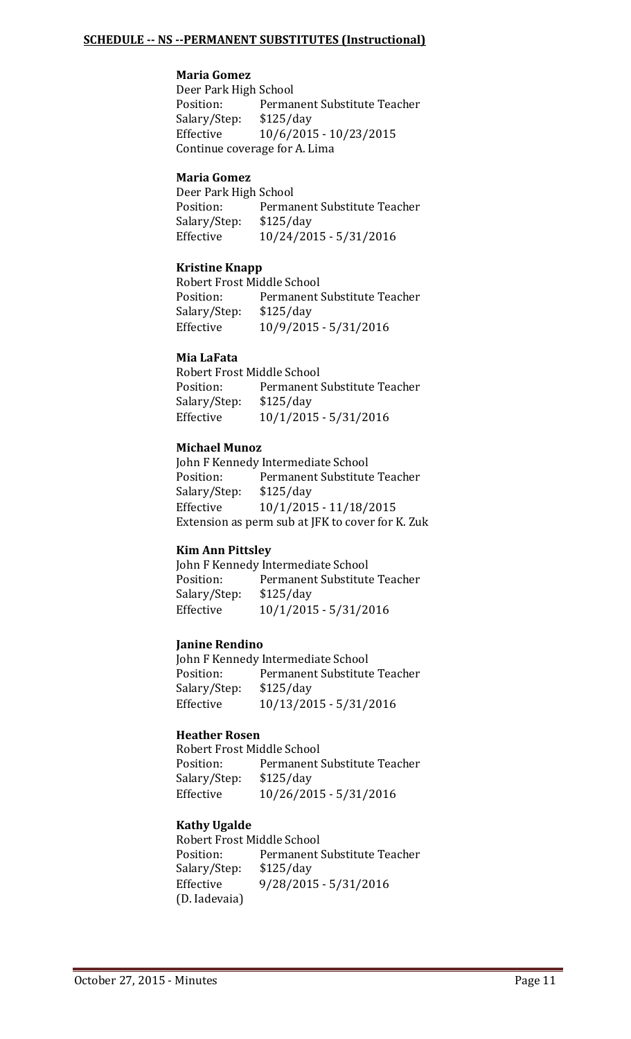#### **Maria Gomez**

Deer Park High School<br>Position: Perma Permanent Substitute Teacher<br>\$125/day Salary/Step: Effective 10/6/2015 - 10/23/2015 Continue coverage for A. Lima

#### **Maria Gomez**

Deer Park High School<br>Position: Permai Permanent Substitute Teacher<br>\$125/day Salary/Step:<br>Effective Effective 10/24/2015 - 5/31/2016

#### **Kristine Knapp**

Robert Frost Middle School<br>Position: Permanent: Permanent Substitute Teacher<br>\$125/day Salary/Step:<br>Effective Effective 10/9/2015 - 5/31/2016

#### **Mia LaFata**

Robert Frost Middle School<br>Position: Permanent ! Permanent Substitute Teacher<br>\$125/day Salary/Step:<br>Effective Effective 10/1/2015 - 5/31/2016

#### **Michael Munoz**

John F Kennedy Intermediate School<br>Position: Permanent Substitute Permanent Substitute Teacher<br>\$125/day Salary/Step:<br>Effective Effective 10/1/2015 - 11/18/2015 Extension as perm sub at JFK to cover for K. Zuk

#### **Kim Ann Pittsley**

John F Kennedy Intermediate School<br>Position: Permanent Substitute Permanent Substitute Teacher<br>\$125/day Salary/Step:<br>Effective Effective 10/1/2015 - 5/31/2016

#### **Janine Rendino**

John F Kennedy Intermediate School<br>Position: Permanent Substitute Permanent Substitute Teacher<br>\$125/day Salary/Step:<br>Effective Effective 10/13/2015 - 5/31/2016

#### **Heather Rosen**

Robert Frost Middle School Position: Permanent Substitute Teacher<br>Salary/Step: \$125/day Salary/Step:<br>Effective Effective 10/26/2015 - 5/31/2016

#### **Kathy Ugalde**

Robert Frost Middle School<br>Position: Permanent Permanent Substitute Teacher<br>\$125/day Salary/Step:<br>Effective Effective 9/28/2015 - 5/31/2016 (D. Iadevaia)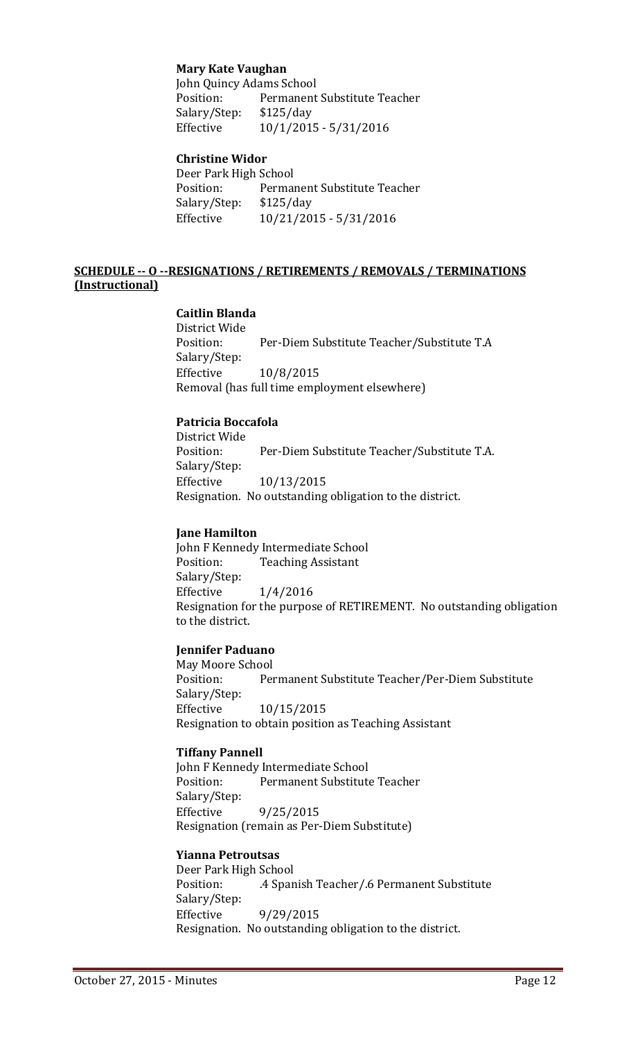#### **Mary Kate Vaughan**

John Quincy Adams School<br>Position: Permanent Permanent Substitute Teacher<br>\$125/day Salary/Step:<br>Effective Effective 10/1/2015 - 5/31/2016

#### **Christine Widor**

Deer Park High School<br>Position: Perma Permanent Substitute Teacher Salary/Step: \$125/day Effective 10/21/2015 - 5/31/2016

#### **SCHEDULE -- O --RESIGNATIONS / RETIREMENTS / REMOVALS / TERMINATIONS (Instructional)**

#### **Caitlin Blanda**

District Wide Per-Diem Substitute Teacher/Substitute T.A Salary/Step: Effective 10/8/2015 Removal (has full time employment elsewhere)

#### **Patricia Boccafola**

District Wide Per-Diem Substitute Teacher/Substitute T.A. Salary/Step:<br>Effective Effective 10/13/2015 Resignation. No outstanding obligation to the district.

#### **Jane Hamilton**

John F Kennedy Intermediate School<br>Position: Teaching Assistant **Teaching Assistant** Salary/Step:<br>Effective Effective 1/4/2016 Resignation for the purpose of RETIREMENT. No outstanding obligation to the district.

#### **Jennifer Paduano**

May Moore School<br>Position: Per Permanent Substitute Teacher/Per-Diem Substitute Salary/Step: Effective 10/15/2015 Resignation to obtain position as Teaching Assistant

#### **Tiffany Pannell**

John F Kennedy Intermediate School<br>Position: Permanent Substitute Permanent Substitute Teacher Salary/Step:<br>Effective Effective 9/25/2015 Resignation (remain as Per-Diem Substitute)

#### **Yianna Petroutsas**

Deer Park High School<br>Position: 4 Span .4 Spanish Teacher/.6 Permanent Substitute Salary/Step: Effective 9/29/2015 Resignation. No outstanding obligation to the district.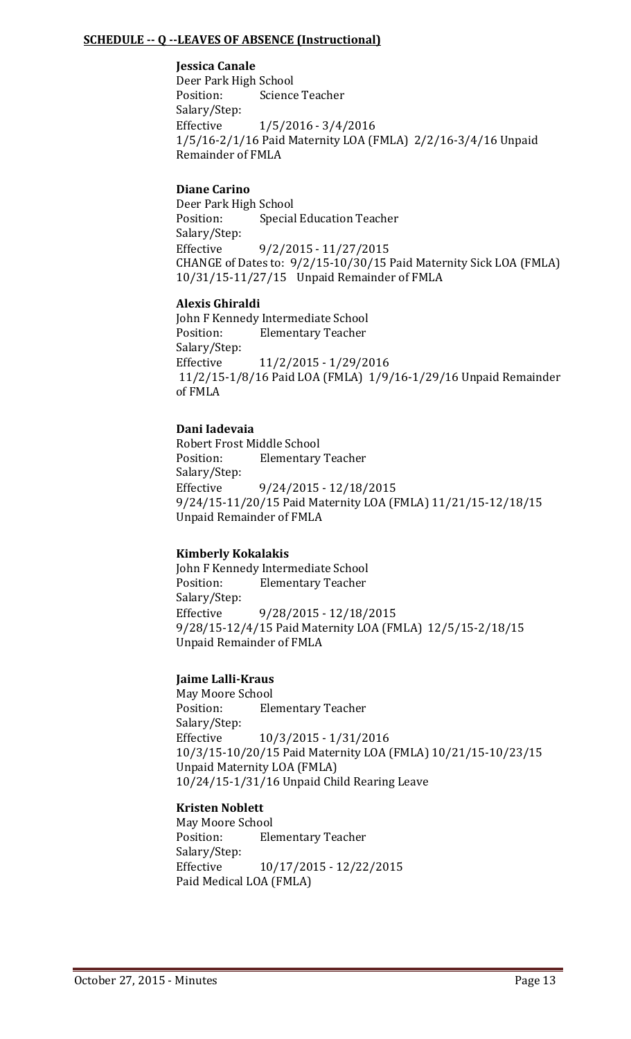#### **SCHEDULE -- Q --LEAVES OF ABSENCE (Instructional)**

**Jessica Canale**

Deer Park High School<br>Position: Science Science Teacher Salary/Step:<br>Effective  $1/5/2016 - 3/4/2016$ 1/5/16-2/1/16 Paid Maternity LOA (FMLA) 2/2/16-3/4/16 Unpaid Remainder of FMLA

#### **Diane Carino**

Deer Park High School<br>Position: Special Special Education Teacher Salary/Step:<br>Effective Effective 9/2/2015 - 11/27/2015 CHANGE of Dates to: 9/2/15-10/30/15 Paid Maternity Sick LOA (FMLA) 10/31/15-11/27/15 Unpaid Remainder of FMLA

#### **Alexis Ghiraldi**

John F Kennedy Intermediate School<br>Position: Flementary Teacher **Elementary Teacher** Salary/Step: Effective 11/2/2015 - 1/29/2016 11/2/15-1/8/16 Paid LOA (FMLA) 1/9/16-1/29/16 Unpaid Remainder of FMLA

#### **Dani Iadevaia**

Robert Frost Middle School<br>Position: Elementary **Elementary Teacher** Salary/Step:<br>Effective Effective 9/24/2015 - 12/18/2015 9/24/15-11/20/15 Paid Maternity LOA (FMLA) 11/21/15-12/18/15 Unpaid Remainder of FMLA

#### **Kimberly Kokalakis**

John F Kennedy Intermediate School<br>Position: Elementary Teacher **Elementary Teacher** Salary/Step: Effective 9/28/2015 - 12/18/2015 9/28/15-12/4/15 Paid Maternity LOA (FMLA) 12/5/15-2/18/15 Unpaid Remainder of FMLA

#### **Jaime Lalli-Kraus**

May Moore School<br>Position: Ele **Elementary Teacher** Salary/Step:<br>Effective Effective 10/3/2015 - 1/31/2016 10/3/15-10/20/15 Paid Maternity LOA (FMLA) 10/21/15-10/23/15 Unpaid Maternity LOA (FMLA) 10/24/15-1/31/16 Unpaid Child Rearing Leave

#### **Kristen Noblett**

May Moore School<br>Position: Ele **Elementary Teacher** Salary/Step: Effective 10/17/2015 - 12/22/2015 Paid Medical LOA (FMLA)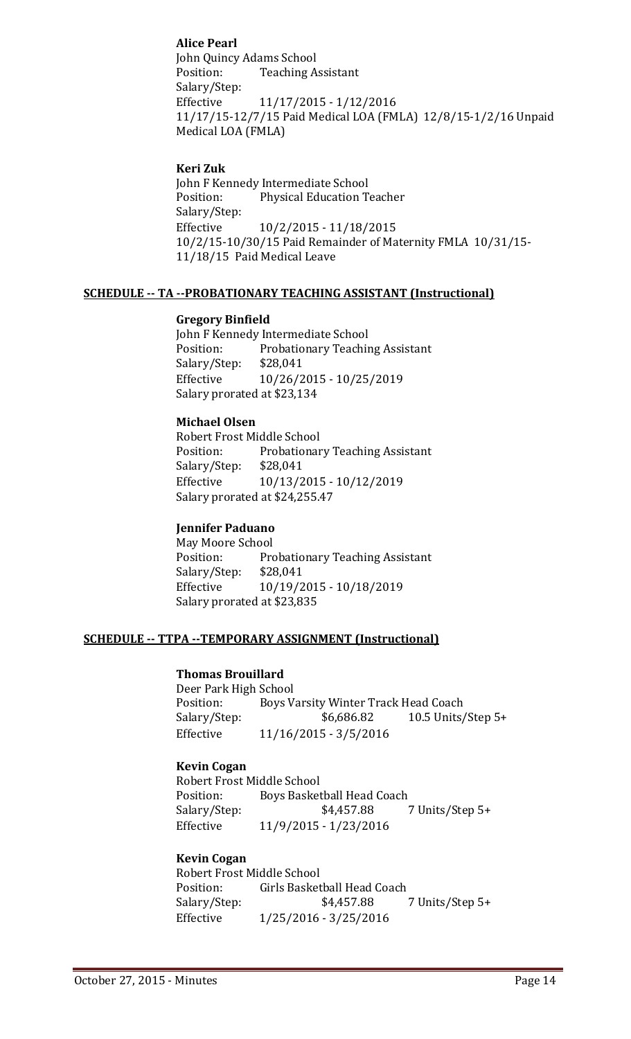#### **Alice Pearl**

John Quincy Adams School<br>Position: Teaching A **Teaching Assistant** Salary/Step:<br>Effective Effective 11/17/2015 - 1/12/2016 11/17/15-12/7/15 Paid Medical LOA (FMLA) 12/8/15-1/2/16 Unpaid Medical LOA (FMLA)

#### **Keri Zuk**

John F Kennedy Intermediate School<br>Position: Physical Education T Physical Education Teacher Salary/Step:<br>Effective Effective 10/2/2015 - 11/18/2015 10/2/15-10/30/15 Paid Remainder of Maternity FMLA 10/31/15- 11/18/15 Paid Medical Leave

#### **SCHEDULE -- TA --PROBATIONARY TEACHING ASSISTANT (Instructional)**

#### **Gregory Binfield**

John F Kennedy Intermediate School<br>Position: Probationary Teachir Probationary Teaching Assistant<br>\$28,041 Salary/Step:<br>Effective Effective 10/26/2015 - 10/25/2019 Salary prorated at \$23,134

#### **Michael Olsen**

Robert Frost Middle School<br>Position: Probationar Probationary Teaching Assistant<br>\$28,041 Salary/Step:<br>Effective Effective 10/13/2015 - 10/12/2019 Salary prorated at \$24,255.47

#### **Jennifer Paduano**

May Moore School<br>Position: Pro Probationary Teaching Assistant<br>\$28.041 Salary/Step:<br>Effective Effective 10/19/2015 - 10/18/2019 Salary prorated at \$23,835

#### **SCHEDULE -- TTPA --TEMPORARY ASSIGNMENT (Instructional)**

#### **Thomas Brouillard**

Deer Park High School<br>Position: Boys V Position: Boys Varsity Winter Track Head Coach<br>Salary/Step: \$6,686.82 10.5 Units/ Salary/Step: \$6,686.82 10.5 Units/Step 5+<br>Effective 11/16/2015 - 3/5/2016 Effective 11/16/2015 - 3/5/2016

#### **Kevin Cogan**

Robert Frost Middle School<br>Position: Bovs Basket Position: Boys Basketball Head Coach<br>Salary/Step: \$4,457.88 7 Units/Step 5+ Effective 11/9/2015 - 1/23/2016

#### **Kevin Cogan**

Robert Frost Middle School<br>Position: Girls Basket Position: Girls Basketball Head Coach<br>Salary/Step: \$4,457.88 Salary/Step: \$4,457.88 7 Units/Step 5+<br>Effective 1/25/2016 - 3/25/2016 Effective 1/25/2016 - 3/25/2016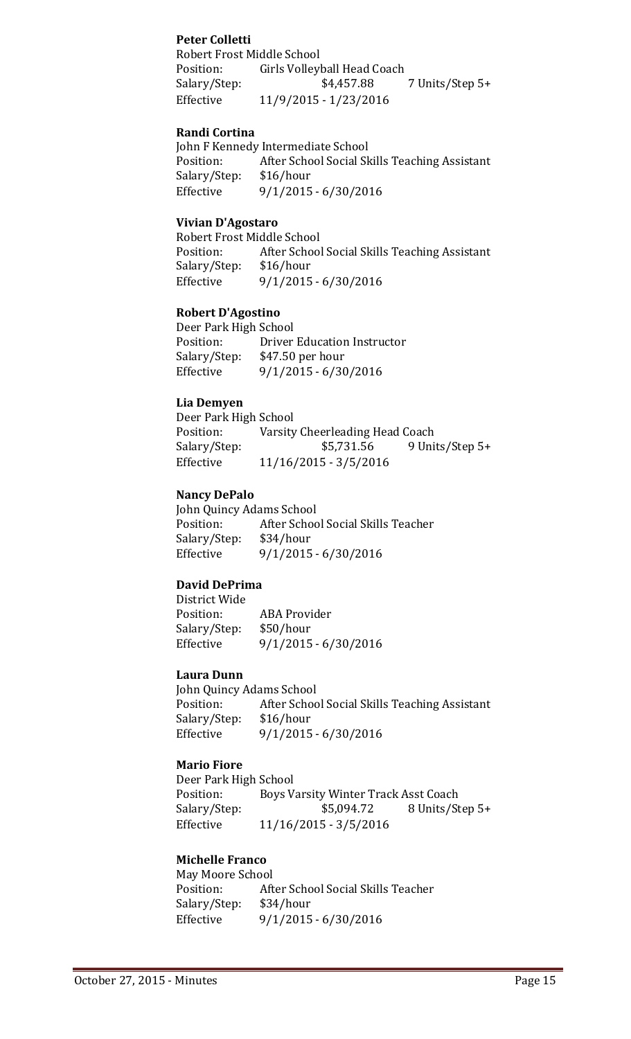#### **Peter Colletti**

Robert Frost Middle School Position: Girls Volleyball Head Coach<br>Salary/Step: \$4,457.88 Salary/Step: \$4,457.88 7 Units/Step 5+<br>Effective 11/9/2015 - 1/23/2016 Effective 11/9/2015 - 1/23/2016

#### **Randi Cortina**

John F Kennedy Intermediate School<br>Position: After School Social Sk After School Social Skills Teaching Assistant \$16/hour Salary/Step:<br>Effective  $9/1/2015 - 6/30/2016$ 

#### **Vivian D'Agostaro**

Robert Frost Middle School<br>Position: After Schoo After School Social Skills Teaching Assistant \$16/hour Salary/Step:<br>Effective Effective 9/1/2015 - 6/30/2016

#### **Robert D'Agostino**

Deer Park High School<br>Position: Driver Position: Driver Education Instructor<br>Salary/Step: \$47.50 per hour Salary/Step: \$47.50 per hour<br>Effective 9/1/2015 - 6/30  $9/1/2015 - 6/30/2016$ 

#### **Lia Demyen**

Deer Park High School<br>Position: Varsity Position: Varsity Cheerleading Head Coach<br>Salary/Step: \$5,731.56 9 Uni Salary/Step: \$5,731.56 9 Units/Step 5+<br>Effective 11/16/2015 - 3/5/2016 Effective 11/16/2015 - 3/5/2016

#### **Nancy DePalo**

John Quincy Adams School<br>Position: After Schoo After School Social Skills Teacher<br>\$34/hour Salary/Step: Effective 9/1/2015 - 6/30/2016

#### **David DePrima**

District Wide ABA Provider<br>\$50/hour Salary/Step:<br>Effective Effective 9/1/2015 - 6/30/2016

#### **Laura Dunn**

John Quincy Adams School<br>Position: After Schoo After School Social Skills Teaching Assistant \$16/hour Salary/Step: Effective 9/1/2015 - 6/30/2016

#### **Mario Fiore**

Deer Park High School<br>Position: Boys V Position: Boys Varsity Winter Track Asst Coach<br>Salary/Step: \$5,094.72 8 Units/St Salary/Step: \$5,094.72 8 Units/Step 5+<br>Effective 11/16/2015 - 3/5/2016 Effective 11/16/2015 - 3/5/2016

#### **Michelle Franco**

May Moore School<br>Position: Aft After School Social Skills Teacher<br>\$34/hour Salary/Step:<br>Effective Effective 9/1/2015 - 6/30/2016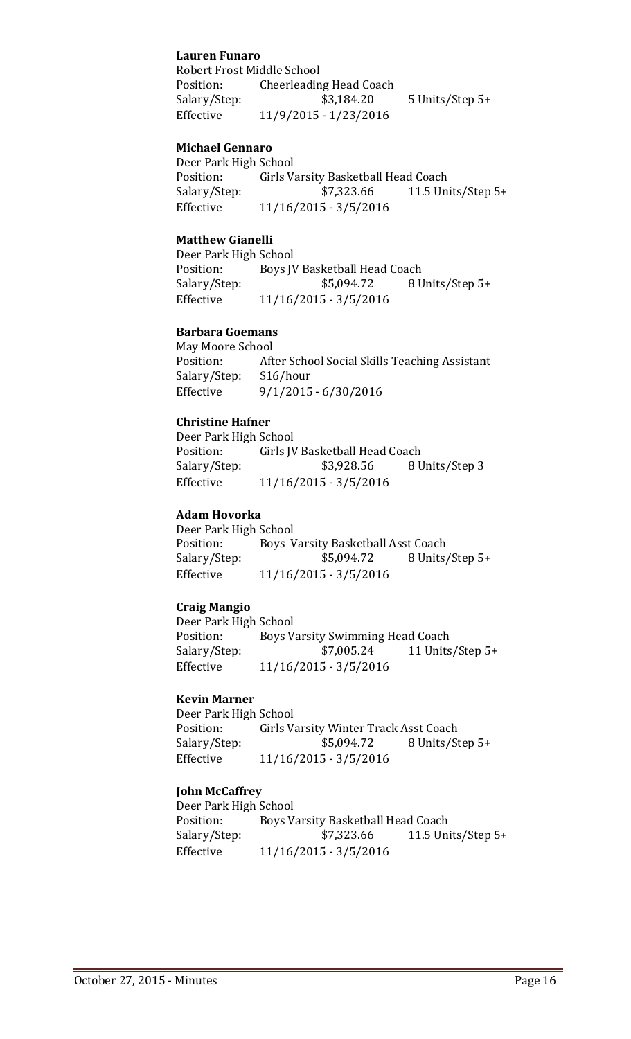#### **Lauren Funaro**

Robert Frost Middle School<br>Position: Cheerleadin Cheerleading Head Coach Salary/Step: \$3,184.20 5 Units/Step 5+ Effective 11/9/2015 - 1/23/2016

#### **Michael Gennaro**

Deer Park High School<br>Position: Girls V Position: Girls Varsity Basketball Head Coach<br>Salary/Step: \$7,323.66 11.5 Un 11.5 Units/Step  $5+$ Effective 11/16/2015 - 3/5/2016

#### **Matthew Gianelli**

Deer Park High School<br>Position: Boys J Position: Boys JV Basketball Head Coach<br>Salary/Step: \$5,094.72 8 U Salary/Step: \$5,094.72 8 Units/Step 5+<br>Effective 11/16/2015 - 3/5/2016 Effective 11/16/2015 - 3/5/2016

#### **Barbara Goemans**

May Moore School<br>Position: Aft After School Social Skills Teaching Assistant \$16/hour Salary/Step:<br>Effective  $9/1/2015 - 6/30/2016$ 

#### **Christine Hafner**

Deer Park High School<br>Position: Girls IV Position: Girls JV Basketball Head Coach<br>Salary/Step: \$3,928.56 8 U Salary/Step: \$3,928.56 8 Units/Step 3<br>Effective 11/16/2015 - 3/5/2016 Effective 11/16/2015 - 3/5/2016

#### **Adam Hovorka**

Deer Park High School<br>Position: Boys V Position: Boys Varsity Basketball Asst Coach<br>Salary/Step: \$5,094.72 8 Units Salary/Step: \$5,094.72 8 Units/Step 5+<br>Effective 11/16/2015 - 3/5/2016 Effective 11/16/2015 - 3/5/2016

#### **Craig Mangio**

Deer Park High School<br>Position: Boys V Position: Boys Varsity Swimming Head Coach<br>Salary/Step: \$7,005.24 11 Units Salary/Step: \$7,005.24 11 Units/Step 5+<br>Effective 11/16/2015 - 3/5/2016 Effective 11/16/2015 - 3/5/2016

#### **Kevin Marner**

Deer Park High School<br>Position: Girls Va Position: Girls Varsity Winter Track Asst Coach<br>Salary/Step: \$5,094.72 8 Units/St Salary/Step: \$5,094.72 8 Units/Step 5+<br>Effective 11/16/2015 - 3/5/2016 Effective 11/16/2015 - 3/5/2016

#### **John McCaffrey**

Deer Park High School<br>Position: Boys V Position: Boys Varsity Basketball Head Coach<br>Salary/Step: \$7,323.66 11.5 Un 11.5 Units/Step  $5+$ Effective 11/16/2015 - 3/5/2016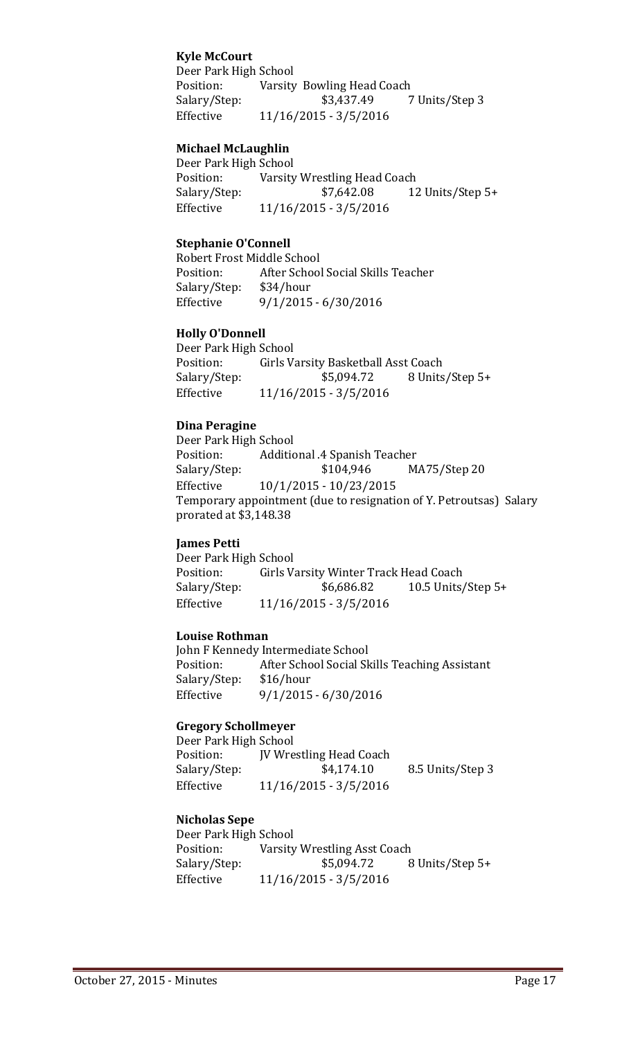#### **Kyle McCourt**

Deer Park High School<br>Position: Varsity Position: Varsity Bowling Head Coach<br>Salary/Step: \$3,437.49 7 Units/Step 3 Effective 11/16/2015 - 3/5/2016

#### **Michael McLaughlin**

Deer Park High School<br>Position: Varsity Position: Varsity Wrestling Head Coach<br>Salary/Step: \$7,642.08 12 12 Units/Step 5+ Effective 11/16/2015 - 3/5/2016

#### **Stephanie O'Connell**

Robert Frost Middle School<br>Position: After Schoo After School Social Skills Teacher<br>\$34/hour Salary/Step:<br>Effective  $9/1/2015 - 6/30/2016$ 

#### **Holly O'Donnell**

Deer Park High School<br>Position: Girls Va Position: Girls Varsity Basketball Asst Coach<br>Salary/Step: \$5,094.72 8 Units Salary/Step: \$5,094.72 8 Units/Step 5+<br>Effective 11/16/2015 - 3/5/2016 Effective 11/16/2015 - 3/5/2016

#### **Dina Peragine**

Deer Park High School<br>Position: Additic Position: Additional .4 Spanish Teacher<br>Salary/Step: \$104,946 M. MA75/Step 20 Effective 10/1/2015 - 10/23/2015 Temporary appointment (due to resignation of Y. Petroutsas) Salary prorated at \$3,148.38

#### **James Petti**

Deer Park High School<br>Position: Girls Va Position: Girls Varsity Winter Track Head Coach<br>Salary/Step: \$6,686.82 10.5 Units Salary/Step: \$6,686.82 10.5 Units/Step 5+<br>Effective 11/16/2015 - 3/5/2016 Effective 11/16/2015 - 3/5/2016

#### **Louise Rothman**

John F Kennedy Intermediate School<br>Position: After School Social Sk After School Social Skills Teaching Assistant \$16/hour Salary/Step:<br>Effective Effective 9/1/2015 - 6/30/2016

#### **Gregory Schollmeyer**

| Deer Park High School |                                |                  |
|-----------------------|--------------------------------|------------------|
| Position:             | <b>IV Wrestling Head Coach</b> |                  |
| Salary/Step:          | \$4,174.10                     | 8.5 Units/Step 3 |
| Effective             | $11/16/2015 - 3/5/2016$        |                  |

#### **Nicholas Sepe**

| Deer Park High School |                              |                 |
|-----------------------|------------------------------|-----------------|
| Position:             | Varsity Wrestling Asst Coach |                 |
| Salary/Step:          | \$5,094.72                   | 8 Units/Step 5+ |
| Effective             | $11/16/2015 - 3/5/2016$      |                 |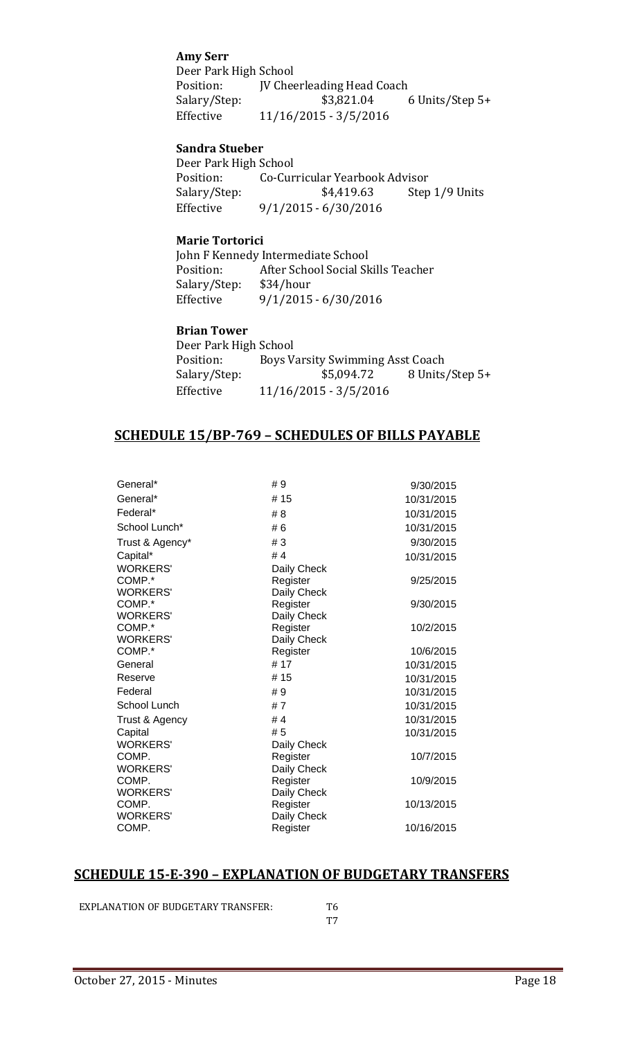#### **Amy Serr**

Deer Park High School<br>Position: **IV Chee** Position: JV Cheerleading Head Coach<br>Salary/Step: \$3,821.04 ( Salary/Step: \$3,821.04 6 Units/Step 5+<br>Effective 11/16/2015 - 3/5/2016 Effective 11/16/2015 - 3/5/2016

#### **Sandra Stueber**

Deer Park High School<br>Position: Co-Cur Position: Co-Curricular Yearbook Advisor<br>Salary/Step: \$4,419.63 Step Step 1/9 Units Effective 9/1/2015 - 6/30/2016

#### **Marie Tortorici**

John F Kennedy Intermediate School<br>Position: After School Social Sk After School Social Skills Teacher<br>\$34/hour Salary/Step:<br>Effective  $9/1/2015 - 6/30/2016$ 

#### **Brian Tower**

| Deer Park High School |                                  |                 |
|-----------------------|----------------------------------|-----------------|
| Position:             | Boys Varsity Swimming Asst Coach |                 |
| Salary/Step:          | \$5,094.72                       | 8 Units/Step 5+ |
| Effective             | $11/16/2015 - 3/5/2016$          |                 |

#### **SCHEDULE 15/BP-769 – SCHEDULES OF BILLS PAYABLE**

| General*        | #9          | 9/30/2015  |
|-----------------|-------------|------------|
| General*        | #15         | 10/31/2015 |
| Federal*        | # 8         | 10/31/2015 |
| School Lunch*   | #6          | 10/31/2015 |
| Trust & Agency* | #3          | 9/30/2015  |
| Capital*        | #4          | 10/31/2015 |
| <b>WORKERS'</b> | Daily Check |            |
| COMP.*          | Register    | 9/25/2015  |
| <b>WORKERS'</b> | Daily Check |            |
| COMP.*          | Register    | 9/30/2015  |
| <b>WORKERS'</b> | Daily Check |            |
| COMP.*          | Register    | 10/2/2015  |
| <b>WORKERS'</b> | Daily Check |            |
| COMP.*          | Register    | 10/6/2015  |
| General         | #17         | 10/31/2015 |
| Reserve         | # 15        | 10/31/2015 |
| Federal         | #9          | 10/31/2015 |
| School Lunch    | #7          | 10/31/2015 |
| Trust & Agency  | #4          | 10/31/2015 |
| Capital         | # 5         | 10/31/2015 |
| <b>WORKERS'</b> | Daily Check |            |
| COMP.           | Register    | 10/7/2015  |
| <b>WORKERS'</b> | Daily Check |            |
| COMP.           | Register    | 10/9/2015  |
| <b>WORKERS'</b> | Daily Check |            |
| COMP.           | Register    | 10/13/2015 |
| <b>WORKERS'</b> | Daily Check |            |
| COMP.           | Register    | 10/16/2015 |
|                 |             |            |

#### **SCHEDULE 15-E-390 – EXPLANATION OF BUDGETARY TRANSFERS**

EXPLANATION OF BUDGETARY TRANSFER: T6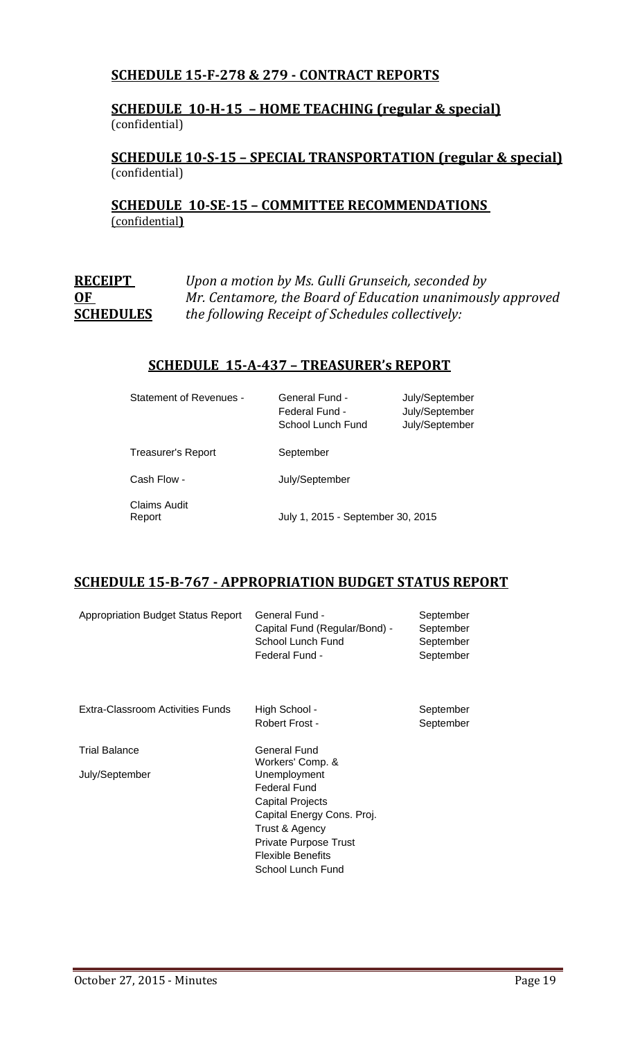#### **SCHEDULE 15-F-278 & 279 - CONTRACT REPORTS**

#### **SCHEDULE 10-H-15 – HOME TEACHING (regular & special)** (confidential)

#### **SCHEDULE 10-S-15 – SPECIAL TRANSPORTATION (regular & special)** (confidential)

**SCHEDULE 10-SE-15 – COMMITTEE RECOMMENDATIONS**  (confidential**)**

| <b>RECEIPT</b>   | Upon a motion by Ms. Gulli Grunseich, seconded by          |
|------------------|------------------------------------------------------------|
| OF               | Mr. Centamore, the Board of Education unanimously approved |
| <b>SCHEDULES</b> | the following Receipt of Schedules collectively:           |

#### **SCHEDULE 15-A-437 – TREASURER's REPORT**

| Statement of Revenues -   | General Fund -<br>Federal Fund -<br>School Lunch Fund | July/September<br>July/September<br>July/September |
|---------------------------|-------------------------------------------------------|----------------------------------------------------|
| <b>Treasurer's Report</b> | September                                             |                                                    |
| Cash Flow -               | July/September                                        |                                                    |
| Claims Audit<br>Report    | July 1, 2015 - September 30, 2015                     |                                                    |

#### **SCHEDULE 15-B-767 - APPROPRIATION BUDGET STATUS REPORT**

| <b>Appropriation Budget Status Report</b> | General Fund -<br>Capital Fund (Regular/Bond) -<br>School Lunch Fund<br>Federal Fund -                                                                                                                         | September<br>September<br>September<br>September |
|-------------------------------------------|----------------------------------------------------------------------------------------------------------------------------------------------------------------------------------------------------------------|--------------------------------------------------|
| Extra-Classroom Activities Funds          | High School -<br>Robert Frost -                                                                                                                                                                                | September<br>September                           |
| <b>Trial Balance</b><br>July/September    | General Fund<br>Workers' Comp. &<br>Unemployment<br>Federal Fund<br><b>Capital Projects</b><br>Capital Energy Cons. Proj.<br>Trust & Agency<br>Private Purpose Trust<br>Flexible Benefits<br>School Lunch Fund |                                                  |